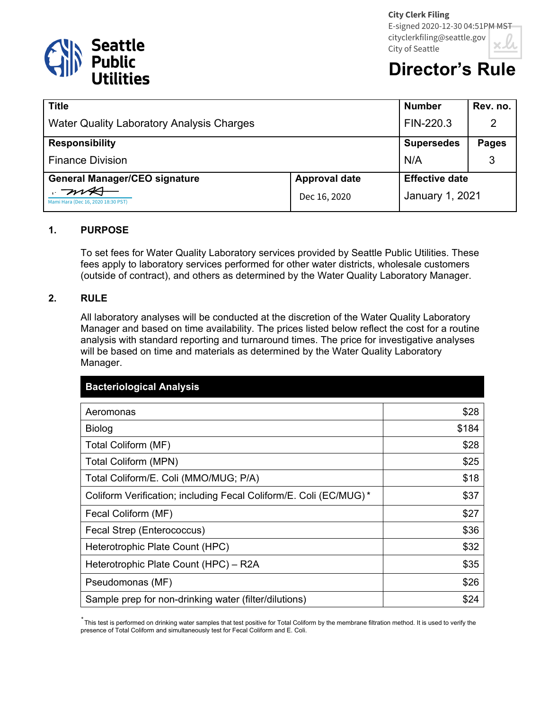

# **Director's Rule**

| <b>Title</b>                                     |                      | <b>Number</b>          | Rev. no.     |
|--------------------------------------------------|----------------------|------------------------|--------------|
| <b>Water Quality Laboratory Analysis Charges</b> |                      | FIN-220.3              | 2            |
| <b>Responsibility</b>                            |                      | <b>Supersedes</b>      | <b>Pages</b> |
| <b>Finance Division</b>                          |                      | N/A                    |              |
| <b>General Manager/CEO signature</b>             | <b>Approval date</b> | <b>Effective date</b>  |              |
| Mami Hara (Dec 16, 2020 18:30 PST)               | Dec 16, 2020         | <b>January 1, 2021</b> |              |

#### **1. PURPOSE**

To set fees for Water Quality Laboratory services provided by Seattle Public Utilities. These fees apply to laboratory services performed for other water districts, wholesale customers (outside of contract), and others as determined by the Water Quality Laboratory Manager.

#### **2. RULE**

All laboratory analyses will be conducted at the discretion of the Water Quality Laboratory Manager and based on time availability. The prices listed below reflect the cost for a routine analysis with standard reporting and turnaround times. The price for investigative analyses will be based on time and materials as determined by the Water Quality Laboratory Manager.

| <b>Bacteriological Analysis</b>                                   |       |
|-------------------------------------------------------------------|-------|
| Aeromonas                                                         | \$28  |
| Biolog                                                            | \$184 |
| Total Coliform (MF)                                               | \$28  |
| <b>Total Coliform (MPN)</b>                                       | \$25  |
| Total Coliform/E. Coli (MMO/MUG; P/A)                             | \$18  |
| Coliform Verification; including Fecal Coliform/E. Coli (EC/MUG)* | \$37  |
| Fecal Coliform (MF)                                               | \$27  |
| Fecal Strep (Enterococcus)                                        | \$36  |
| Heterotrophic Plate Count (HPC)                                   | \$32  |
| Heterotrophic Plate Count (HPC) - R2A                             | \$35  |
| Pseudomonas (MF)                                                  | \$26  |
| Sample prep for non-drinking water (filter/dilutions)             | \$24  |

*\** This test is performed on drinking water samples that test positive for Total Coliform by the membrane filtration method. It is used to verify the presence of Total Coliform and simultaneously test for Fecal Coliform and E. Coli.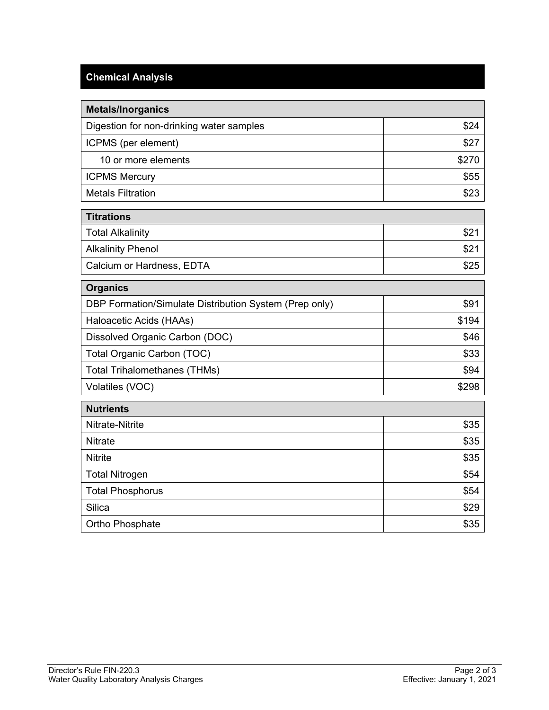## **Chemical Analysis**

| <b>Metals/Inorganics</b>                               |       |
|--------------------------------------------------------|-------|
| Digestion for non-drinking water samples               | \$24  |
| ICPMS (per element)                                    | \$27  |
| 10 or more elements                                    | \$270 |
| <b>ICPMS Mercury</b>                                   | \$55  |
| <b>Metals Filtration</b>                               | \$23  |
| <b>Titrations</b>                                      |       |
| <b>Total Alkalinity</b>                                | \$21  |
| <b>Alkalinity Phenol</b>                               | \$21  |
| Calcium or Hardness, EDTA                              | \$25  |
| <b>Organics</b>                                        |       |
| DBP Formation/Simulate Distribution System (Prep only) | \$91  |
| Haloacetic Acids (HAAs)                                | \$194 |
| Dissolved Organic Carbon (DOC)                         | \$46  |
| Total Organic Carbon (TOC)                             | \$33  |
| <b>Total Trihalomethanes (THMs)</b>                    | \$94  |
| Volatiles (VOC)                                        | \$298 |
| <b>Nutrients</b>                                       |       |
| <b>Nitrate-Nitrite</b>                                 | \$35  |
| <b>Nitrate</b>                                         | \$35  |
| <b>Nitrite</b>                                         | \$35  |
| <b>Total Nitrogen</b>                                  | \$54  |
| <b>Total Phosphorus</b>                                | \$54  |
| Silica                                                 | \$29  |
| Ortho Phosphate                                        | \$35  |